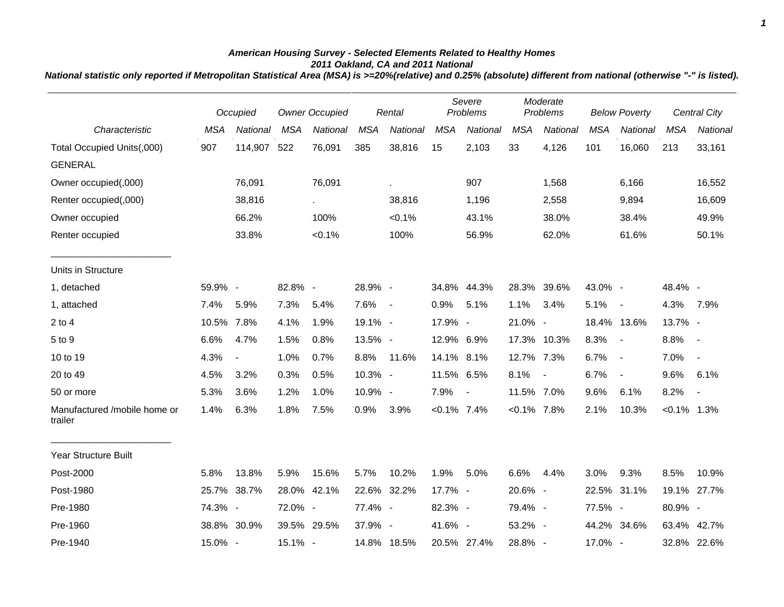## *American Housing Survey - Selected Elements Related to Healthy Homes 2011 Oakland, CA and 2011 National*

*National statistic only reported if Metropolitan Statistical Area (MSA) is >=20%(relative) and 0.25% (absolute) different from national (otherwise "-" is listed).*

|                                         |            | Occupied                 | <b>Owner Occupied</b> |             |            | Rental      |                | Severe<br>Problems |                | Moderate<br>Problems |            | <b>Below Poverty</b>     |                | <b>Central City</b> |
|-----------------------------------------|------------|--------------------------|-----------------------|-------------|------------|-------------|----------------|--------------------|----------------|----------------------|------------|--------------------------|----------------|---------------------|
| Characteristic                          | <b>MSA</b> | National                 | <b>MSA</b>            | National    | <b>MSA</b> | National    | <b>MSA</b>     | National           | <b>MSA</b>     | National             | <b>MSA</b> | <b>National</b>          | <b>MSA</b>     | National            |
| Total Occupied Units(,000)              | 907        | 114,907 522              |                       | 76,091      | 385        | 38,816      | 15             | 2,103              | 33             | 4,126                | 101        | 16,060                   | 213            | 33,161              |
| <b>GENERAL</b>                          |            |                          |                       |             |            |             |                |                    |                |                      |            |                          |                |                     |
| Owner occupied(,000)                    |            | 76,091                   |                       | 76,091      |            | ¥.          |                | 907                |                | 1,568                |            | 6,166                    |                | 16,552              |
| Renter occupied(,000)                   |            | 38,816                   |                       |             |            | 38,816      |                | 1,196              |                | 2,558                |            | 9,894                    |                | 16,609              |
| Owner occupied                          |            | 66.2%                    |                       | 100%        |            | $< 0.1\%$   |                | 43.1%              |                | 38.0%                |            | 38.4%                    |                | 49.9%               |
| Renter occupied                         |            | 33.8%                    |                       | $< 0.1\%$   |            | 100%        |                | 56.9%              |                | 62.0%                |            | 61.6%                    |                | 50.1%               |
| Units in Structure                      |            |                          |                       |             |            |             |                |                    |                |                      |            |                          |                |                     |
| 1, detached                             | 59.9% -    |                          | 82.8% -               |             | 28.9% -    |             |                | 34.8% 44.3%        |                | 28.3% 39.6%          | 43.0% -    |                          | 48.4% -        |                     |
| 1, attached                             | 7.4%       | 5.9%                     | 7.3%                  | 5.4%        | 7.6%       | $\sim$ $-$  | 0.9%           | 5.1%               | 1.1%           | 3.4%                 | 5.1%       | $\blacksquare$           | 4.3%           | 7.9%                |
| $2$ to $4$                              | 10.5%      | 7.8%                     | 4.1%                  | 1.9%        | 19.1% -    |             | 17.9% -        |                    | 21.0% -        |                      |            | 18.4% 13.6%              | 13.7% -        |                     |
| 5 to 9                                  | 6.6%       | 4.7%                     | 1.5%                  | 0.8%        | 13.5% -    |             | 12.9% 6.9%     |                    |                | 17.3% 10.3%          | 8.3%       | $\blacksquare$           | 8.8%           | $\sim$ $-$          |
| 10 to 19                                | 4.3%       | $\overline{\phantom{a}}$ | 1.0%                  | 0.7%        | 8.8%       | 11.6%       | 14.1% 8.1%     |                    | 12.7% 7.3%     |                      | 6.7%       | $\overline{\phantom{a}}$ | 7.0%           | $\sim$              |
| 20 to 49                                | 4.5%       | 3.2%                     | 0.3%                  | 0.5%        | 10.3% -    |             | 11.5% 6.5%     |                    | 8.1%           | $\sim$               | 6.7%       | $\blacksquare$           | 9.6%           | 6.1%                |
| 50 or more                              | 5.3%       | 3.6%                     | 1.2%                  | 1.0%        | 10.9% -    |             | 7.9%           | $\sim$             | 11.5% 7.0%     |                      | 9.6%       | 6.1%                     | 8.2%           | $\sim$              |
| Manufactured /mobile home or<br>trailer | 1.4%       | 6.3%                     | 1.8%                  | 7.5%        | 0.9%       | 3.9%        | $< 0.1\%$ 7.4% |                    | $< 0.1\%$ 7.8% |                      | 2.1%       | 10.3%                    | $< 0.1\%$ 1.3% |                     |
| <b>Year Structure Built</b>             |            |                          |                       |             |            |             |                |                    |                |                      |            |                          |                |                     |
| Post-2000                               | 5.8%       | 13.8%                    | 5.9%                  | 15.6%       | 5.7%       | 10.2%       | 1.9%           | 5.0%               | 6.6%           | 4.4%                 | 3.0%       | 9.3%                     | 8.5%           | 10.9%               |
| Post-1980                               | 25.7%      | 38.7%                    |                       | 28.0% 42.1% |            | 22.6% 32.2% | 17.7% -        |                    | 20.6% -        |                      |            | 22.5% 31.1%              |                | 19.1% 27.7%         |
| Pre-1980                                | 74.3% -    |                          | 72.0% -               |             | 77.4% -    |             | 82.3% -        |                    | 79.4% -        |                      | 77.5% -    |                          | 80.9% -        |                     |
| Pre-1960                                |            | 38.8% 30.9%              |                       | 39.5% 29.5% | 37.9% -    |             | 41.6% -        |                    | 53.2% -        |                      |            | 44.2% 34.6%              |                | 63.4% 42.7%         |
| Pre-1940                                | 15.0% -    |                          | 15.1% -               |             |            | 14.8% 18.5% |                | 20.5% 27.4%        | 28.8% -        |                      | 17.0% -    |                          |                | 32.8% 22.6%         |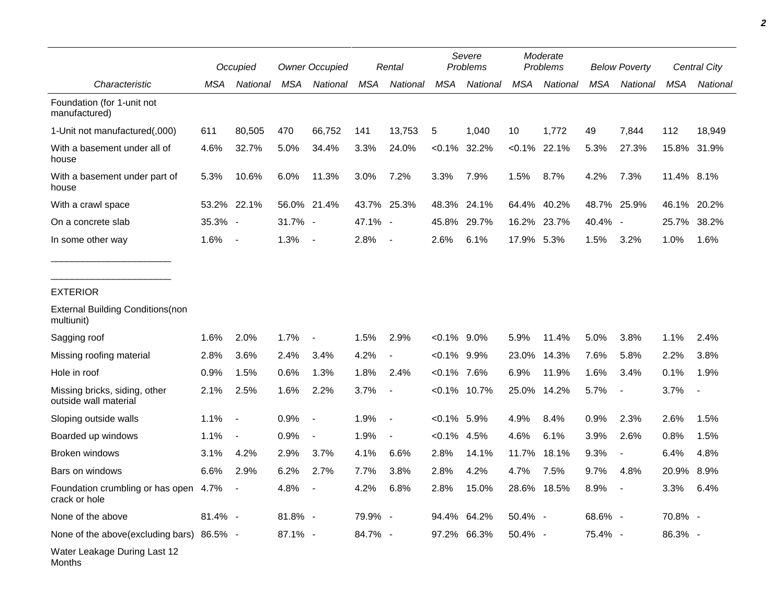|                                                        |         | Occupied                 |         | <b>Owner Occupied</b>    |            | Rental                   |                | Severe<br>Problems |            | Moderate<br>Problems |            | <b>Below Poverty</b>     |            | Central City |
|--------------------------------------------------------|---------|--------------------------|---------|--------------------------|------------|--------------------------|----------------|--------------------|------------|----------------------|------------|--------------------------|------------|--------------|
| Characteristic                                         | MSA     | National                 | MSA     | National                 | <b>MSA</b> | National                 | <b>MSA</b>     | National           | <b>MSA</b> | National             | <b>MSA</b> | National                 | <b>MSA</b> | National     |
| Foundation (for 1-unit not<br>manufactured)            |         |                          |         |                          |            |                          |                |                    |            |                      |            |                          |            |              |
| 1-Unit not manufactured(,000)                          | 611     | 80,505                   | 470     | 66,752                   | 141        | 13,753                   | 5              | 1,040              | 10         | 1,772                | 49         | 7,844                    | 112        | 18,949       |
| With a basement under all of<br>house                  | 4.6%    | 32.7%                    | 5.0%    | 34.4%                    | 3.3%       | 24.0%                    | $< 0.1\%$      | 32.2%              |            | $< 0.1\%$ 22.1%      | 5.3%       | 27.3%                    |            | 15.8% 31.9%  |
| With a basement under part of<br>house                 | 5.3%    | 10.6%                    | 6.0%    | 11.3%                    | 3.0%       | 7.2%                     | 3.3%           | 7.9%               | 1.5%       | 8.7%                 | 4.2%       | 7.3%                     | 11.4% 8.1% |              |
| With a crawl space                                     |         | 53.2% 22.1%              |         | 56.0% 21.4%              |            | 43.7% 25.3%              | 48.3%          | 24.1%              | 64.4%      | 40.2%                | 48.7%      | 25.9%                    | 46.1%      | 20.2%        |
| On a concrete slab                                     | 35.3% - |                          | 31.7% - |                          | 47.1% -    |                          | 45.8%          | 29.7%              |            | 16.2% 23.7%          | 40.4% -    |                          | 25.7%      | 38.2%        |
| In some other way                                      | 1.6%    | $\overline{\phantom{a}}$ | 1.3%    | $\sim$                   | 2.8%       | $\blacksquare$           | 2.6%           | 6.1%               | 17.9%      | 5.3%                 | 1.5%       | 3.2%                     | 1.0%       | 1.6%         |
| <b>EXTERIOR</b>                                        |         |                          |         |                          |            |                          |                |                    |            |                      |            |                          |            |              |
| <b>External Building Conditions (non</b><br>multiunit) |         |                          |         |                          |            |                          |                |                    |            |                      |            |                          |            |              |
| Sagging roof                                           | 1.6%    | 2.0%                     | 1.7%    |                          | 1.5%       | 2.9%                     | $< 0.1\%$ 9.0% |                    | 5.9%       | 11.4%                | 5.0%       | 3.8%                     | 1.1%       | 2.4%         |
| Missing roofing material                               | 2.8%    | 3.6%                     | 2.4%    | 3.4%                     | 4.2%       | $\blacksquare$           | $< 0.1\%$ 9.9% |                    | 23.0%      | 14.3%                | 7.6%       | 5.8%                     | 2.2%       | 3.8%         |
| Hole in roof                                           | 0.9%    | 1.5%                     | 0.6%    | 1.3%                     | 1.8%       | 2.4%                     | $<0.1\%$ 7.6%  |                    | 6.9%       | 11.9%                | 1.6%       | 3.4%                     | 0.1%       | 1.9%         |
| Missing bricks, siding, other<br>outside wall material | 2.1%    | 2.5%                     | 1.6%    | 2.2%                     | 3.7%       | $\overline{\phantom{a}}$ |                | $< 0.1\%$ 10.7%    | 25.0%      | 14.2%                | 5.7%       | $\overline{\phantom{a}}$ | 3.7%       |              |
| Sloping outside walls                                  | 1.1%    | $\sim$                   | 0.9%    | $\overline{\phantom{a}}$ | 1.9%       | $\overline{\phantom{a}}$ | $< 0.1\%$ 5.9% |                    | 4.9%       | 8.4%                 | 0.9%       | 2.3%                     | 2.6%       | 1.5%         |
| Boarded up windows                                     | 1.1%    | $\blacksquare$           | 0.9%    |                          | 1.9%       | $\blacksquare$           | $< 0.1\%$      | 4.5%               | 4.6%       | 6.1%                 | 3.9%       | 2.6%                     | 0.8%       | 1.5%         |
| Broken windows                                         | 3.1%    | 4.2%                     | 2.9%    | 3.7%                     | 4.1%       | 6.6%                     | 2.8%           | 14.1%              | 11.7%      | 18.1%                | 9.3%       | $\overline{\phantom{a}}$ | 6.4%       | 4.8%         |
| Bars on windows                                        | 6.6%    | 2.9%                     | 6.2%    | 2.7%                     | 7.7%       | 3.8%                     | 2.8%           | 4.2%               | 4.7%       | 7.5%                 | 9.7%       | 4.8%                     | 20.9%      | 8.9%         |
| Foundation crumbling or has open 4.7%<br>crack or hole |         |                          | 4.8%    |                          | 4.2%       | 6.8%                     | 2.8%           | 15.0%              |            | 28.6% 18.5%          | 8.9%       |                          | 3.3%       | 6.4%         |
| None of the above                                      | 81.4% - |                          | 81.8% - |                          | 79.9% -    |                          |                | 94.4% 64.2%        | 50.4% -    |                      | 68.6% -    |                          | 70.8% -    |              |
| None of the above(excluding bars) 86.5% -              |         |                          | 87.1% - |                          | 84.7% -    |                          |                | 97.2% 66.3%        | 50.4% -    |                      | 75.4% -    |                          | 86.3% -    |              |
| Water Leakage During Last 12<br>Months                 |         |                          |         |                          |            |                          |                |                    |            |                      |            |                          |            |              |

*2*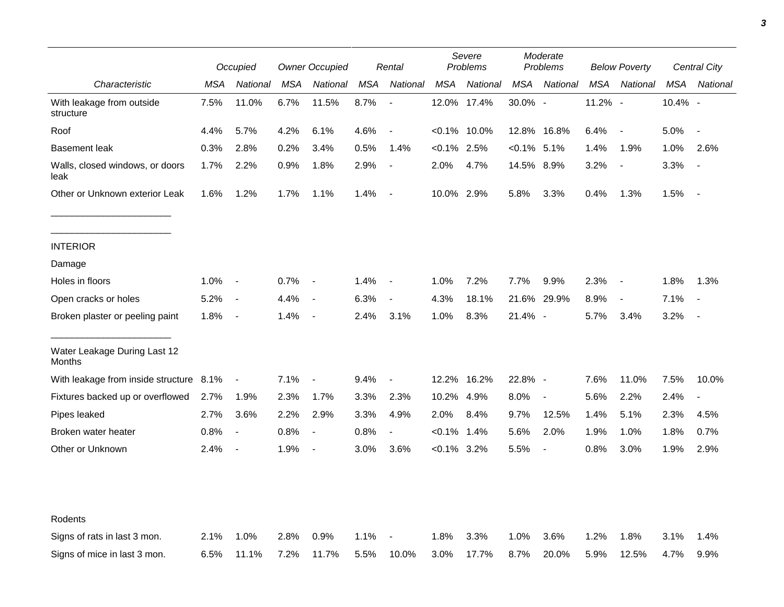|                                         |      | Occupied                 |            | <b>Owner Occupied</b>    |      | Rental                   | Severe<br>Problems |                 | Moderate<br>Problems |                          | <b>Below Poverty</b> |                          | Central City |                          |
|-----------------------------------------|------|--------------------------|------------|--------------------------|------|--------------------------|--------------------|-----------------|----------------------|--------------------------|----------------------|--------------------------|--------------|--------------------------|
| Characteristic                          | MSA  | National                 | <b>MSA</b> | National                 | MSA  | National                 | <b>MSA</b>         | National        | MSA                  | National                 | <b>MSA</b>           | National                 | MSA          | National                 |
| With leakage from outside<br>structure  | 7.5% | 11.0%                    | 6.7%       | 11.5%                    | 8.7% |                          |                    | 12.0% 17.4%     | 30.0% -              |                          | 11.2% -              |                          | 10.4% -      |                          |
| Roof                                    | 4.4% | 5.7%                     | 4.2%       | 6.1%                     | 4.6% | $\overline{\phantom{a}}$ |                    | $< 0.1\%$ 10.0% |                      | 12.8% 16.8%              | 6.4%                 | $\overline{\phantom{a}}$ | 5.0%         | $\overline{\phantom{a}}$ |
| <b>Basement leak</b>                    | 0.3% | 2.8%                     | 0.2%       | 3.4%                     | 0.5% | 1.4%                     | $<0.1\%$ 2.5%      |                 | $<0.1\%$ 5.1%        |                          | 1.4%                 | 1.9%                     | 1.0%         | 2.6%                     |
| Walls, closed windows, or doors<br>leak | 1.7% | 2.2%                     | 0.9%       | 1.8%                     | 2.9% | $\overline{\phantom{a}}$ | 2.0%               | 4.7%            | 14.5% 8.9%           |                          | 3.2%                 | $\blacksquare$           | 3.3%         | $\overline{\phantom{a}}$ |
| Other or Unknown exterior Leak          | 1.6% | 1.2%                     | 1.7%       | 1.1%                     | 1.4% | $\overline{\phantom{a}}$ | 10.0% 2.9%         |                 | 5.8%                 | 3.3%                     | 0.4%                 | 1.3%                     | 1.5%         | $\overline{\phantom{a}}$ |
| <b>INTERIOR</b>                         |      |                          |            |                          |      |                          |                    |                 |                      |                          |                      |                          |              |                          |
| Damage                                  |      |                          |            |                          |      |                          |                    |                 |                      |                          |                      |                          |              |                          |
| Holes in floors                         | 1.0% | $\overline{\phantom{a}}$ | 0.7%       | $\overline{\phantom{a}}$ | 1.4% | $\overline{\phantom{a}}$ | 1.0%               | 7.2%            | 7.7%                 | 9.9%                     | 2.3%                 | $\blacksquare$           | 1.8%         | 1.3%                     |
| Open cracks or holes                    | 5.2% | $\blacksquare$           | 4.4%       | $\overline{\phantom{a}}$ | 6.3% | $\blacksquare$           | 4.3%               | 18.1%           | 21.6%                | 29.9%                    | 8.9%                 | $\blacksquare$           | 7.1%         | $\overline{\phantom{a}}$ |
| Broken plaster or peeling paint         | 1.8% | $\overline{\phantom{a}}$ | 1.4%       | $\overline{\phantom{a}}$ | 2.4% | 3.1%                     | 1.0%               | 8.3%            | 21.4% -              |                          | 5.7%                 | 3.4%                     | 3.2%         |                          |
| Water Leakage During Last 12<br>Months  |      |                          |            |                          |      |                          |                    |                 |                      |                          |                      |                          |              |                          |
| With leakage from inside structure 8.1% |      | $\blacksquare$           | 7.1%       | $\blacksquare$           | 9.4% | $\blacksquare$           | 12.2%              | 16.2%           | 22.8% -              |                          | 7.6%                 | 11.0%                    | 7.5%         | 10.0%                    |
| Fixtures backed up or overflowed        | 2.7% | 1.9%                     | 2.3%       | 1.7%                     | 3.3% | 2.3%                     | 10.2%              | 4.9%            | 8.0%                 | $\blacksquare$           | 5.6%                 | 2.2%                     | 2.4%         | $\blacksquare$           |
| Pipes leaked                            | 2.7% | 3.6%                     | 2.2%       | 2.9%                     | 3.3% | 4.9%                     | 2.0%               | 8.4%            | 9.7%                 | 12.5%                    | 1.4%                 | 5.1%                     | 2.3%         | 4.5%                     |
| Broken water heater                     | 0.8% | $\overline{\phantom{a}}$ | 0.8%       | $\overline{\phantom{a}}$ | 0.8% | $\blacksquare$           | $< 0.1\%$          | 1.4%            | 5.6%                 | 2.0%                     | 1.9%                 | 1.0%                     | 1.8%         | 0.7%                     |
| Other or Unknown                        | 2.4% | $\overline{\phantom{a}}$ | 1.9%       | $\overline{\phantom{a}}$ | 3.0% | 3.6%                     | $< 0.1\%$ 3.2%     |                 | 5.5%                 | $\overline{\phantom{a}}$ | 0.8%                 | 3.0%                     | 1.9%         | 2.9%                     |
|                                         |      |                          |            |                          |      |                          |                    |                 |                      |                          |                      |                          |              |                          |
| Rodents                                 |      |                          |            |                          |      |                          |                    |                 |                      |                          |                      |                          |              |                          |
| Signs of rats in last 3 mon.            | 2.1% | 1.0%                     | 2.8%       | 0.9%                     | 1.1% |                          | 1.8%               | 3.3%            | 1.0%                 | 3.6%                     | 1.2%                 | 1.8%                     | 3.1%         | 1.4%                     |
| Signs of mice in last 3 mon.            | 6.5% | 11.1%                    | 7.2%       | 11.7%                    | 5.5% | 10.0%                    | 3.0%               | 17.7%           | 8.7%                 | 20.0%                    | 5.9%                 | 12.5%                    | 4.7%         | 9.9%                     |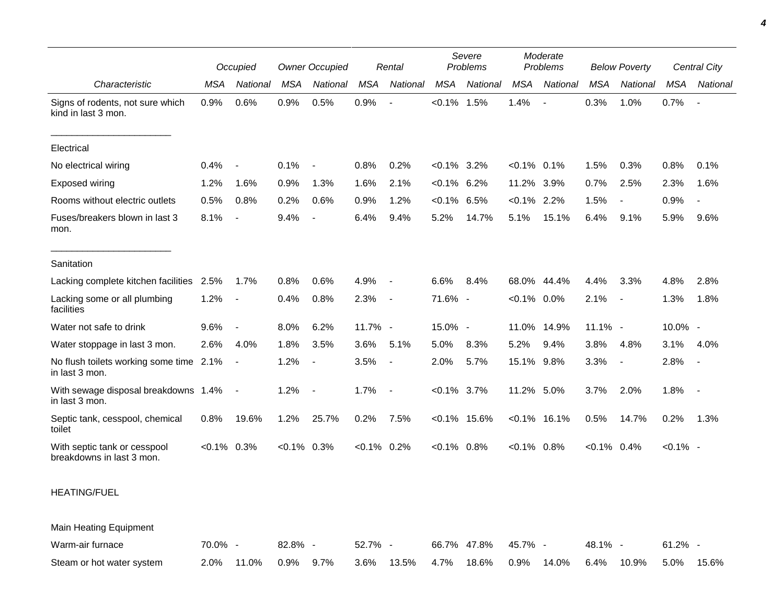|                                                           |                | Occupied                 |               | <b>Owner Occupied</b>    |                | Rental                   |                | Severe<br>Problems |                 | Moderate<br>Problems |                | <b>Below Poverty</b>     |             | Central City             |  |
|-----------------------------------------------------------|----------------|--------------------------|---------------|--------------------------|----------------|--------------------------|----------------|--------------------|-----------------|----------------------|----------------|--------------------------|-------------|--------------------------|--|
| Characteristic                                            | <b>MSA</b>     | National                 | <b>MSA</b>    | <b>National</b>          | <b>MSA</b>     | National                 | <b>MSA</b>     | National           | <b>MSA</b>      | National             | <b>MSA</b>     | National                 | <b>MSA</b>  | National                 |  |
| Signs of rodents, not sure which<br>kind in last 3 mon.   | 0.9%           | 0.6%                     | 0.9%          | 0.5%                     | 0.9%           |                          | $< 0.1\%$      | 1.5%               | 1.4%            |                      | 0.3%           | 1.0%                     | 0.7%        | $\overline{\phantom{a}}$ |  |
| Electrical                                                |                |                          |               |                          |                |                          |                |                    |                 |                      |                |                          |             |                          |  |
| No electrical wiring                                      | 0.4%           | $\overline{\phantom{a}}$ | 0.1%          | $\overline{\phantom{a}}$ | 0.8%           | 0.2%                     | $< 0.1\%$      | $3.2\%$            | $<0.1\%$        | 0.1%                 | 1.5%           | 0.3%                     | 0.8%        | 0.1%                     |  |
| Exposed wiring                                            | 1.2%           | 1.6%                     | 0.9%          | 1.3%                     | 1.6%           | 2.1%                     | $< 0.1\%$      | 6.2%               | 11.2%           | 3.9%                 | 0.7%           | 2.5%                     | 2.3%        | 1.6%                     |  |
| Rooms without electric outlets                            | 0.5%           | 0.8%                     | 0.2%          | 0.6%                     | 0.9%           | 1.2%                     | $< 0.1\%$      | 6.5%               | $< 0.1\%$       | 2.2%                 | 1.5%           | $\overline{\phantom{a}}$ | 0.9%        |                          |  |
| Fuses/breakers blown in last 3<br>mon.                    | 8.1%           | $\sim$                   | 9.4%          | $\overline{\phantom{a}}$ | 6.4%           | 9.4%                     | 5.2%           | 14.7%              | 5.1%            | 15.1%                | 6.4%           | 9.1%                     | 5.9%        | 9.6%                     |  |
| Sanitation                                                |                |                          |               |                          |                |                          |                |                    |                 |                      |                |                          |             |                          |  |
| Lacking complete kitchen facilities                       | 2.5%           | 1.7%                     | 0.8%          | 0.6%                     | 4.9%           | $\overline{\phantom{a}}$ | 6.6%           | 8.4%               | 68.0%           | 44.4%                | 4.4%           | 3.3%                     | 4.8%        | 2.8%                     |  |
| Lacking some or all plumbing<br>facilities                | 1.2%           | $\blacksquare$           | 0.4%          | 0.8%                     | 2.3%           | $\overline{\phantom{a}}$ | 71.6% -        |                    | $< 0.1\%$ 0.0%  |                      | 2.1%           | $\overline{\phantom{a}}$ | 1.3%        | 1.8%                     |  |
| Water not safe to drink                                   | 9.6%           | $\overline{\phantom{a}}$ | 8.0%          | 6.2%                     | 11.7% -        |                          | 15.0% -        |                    | 11.0%           | 14.9%                | 11.1% -        |                          | 10.0% -     |                          |  |
| Water stoppage in last 3 mon.                             | 2.6%           | 4.0%                     | 1.8%          | 3.5%                     | 3.6%           | 5.1%                     | 5.0%           | 8.3%               | 5.2%            | 9.4%                 | 3.8%           | 4.8%                     | 3.1%        | 4.0%                     |  |
| No flush toilets working some time 2.1%<br>in last 3 mon. |                | $\overline{\phantom{a}}$ | 1.2%          | $\overline{\phantom{a}}$ | 3.5%           | $\overline{\phantom{a}}$ | 2.0%           | 5.7%               | 15.1%           | 9.8%                 | 3.3%           | $\blacksquare$           | 2.8%        | $\overline{\phantom{a}}$ |  |
| With sewage disposal breakdowns 1.4%<br>in last 3 mon.    |                | $\blacksquare$           | 1.2%          | $\sim$                   | 1.7%           | $\overline{\phantom{a}}$ | $< 0.1\%$ 3.7% |                    | 11.2% 5.0%      |                      | 3.7%           | 2.0%                     | 1.8%        | $\sim$                   |  |
| Septic tank, cesspool, chemical<br>toilet                 | 0.8%           | 19.6%                    | 1.2%          | 25.7%                    | 0.2%           | 7.5%                     |                | $< 0.1\%$ 15.6%    | $< 0.1\%$ 16.1% |                      | 0.5%           | 14.7%                    | 0.2%        | 1.3%                     |  |
| With septic tank or cesspool<br>breakdowns in last 3 mon. | $< 0.1\%$ 0.3% |                          | $<0.1\%$ 0.3% |                          | $< 0.1\%$ 0.2% |                          | $< 0.1\%$ 0.8% |                    | $< 0.1\%$ 0.8%  |                      | $< 0.1\%$ 0.4% |                          | $< 0.1\%$ - |                          |  |

## HEATING/FUEL

Main Heating Equipment Warm-air furnace **70.0%** - 82.8% - 52.7% - 66.7% 47.8% 45.7% - 48.1% - 61.2% -Steam or hot water system 2.0% 11.0% 0.9% 9.7% 3.6% 13.5% 4.7% 18.6% 0.9% 14.0% 6.4% 10.9% 5.0% 15.6%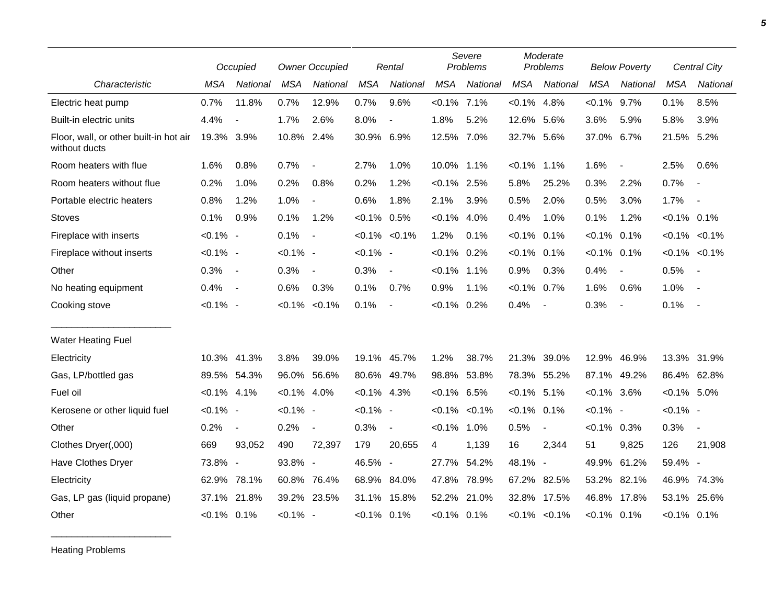|                                                         | Occupied       |                | <b>Owner Occupied</b> |                          | Rental         |                          | Severe<br>Problems |                     | Moderate<br>Problems |                     | <b>Below Poverty</b> |                          | <b>Central City</b> |                          |
|---------------------------------------------------------|----------------|----------------|-----------------------|--------------------------|----------------|--------------------------|--------------------|---------------------|----------------------|---------------------|----------------------|--------------------------|---------------------|--------------------------|
| Characteristic                                          | <b>MSA</b>     | National       | <b>MSA</b>            | National                 | <b>MSA</b>     | National                 | <b>MSA</b>         | National            | <b>MSA</b>           | National            | <b>MSA</b>           | National                 | <b>MSA</b>          | National                 |
| Electric heat pump                                      | 0.7%           | 11.8%          | 0.7%                  | 12.9%                    | 0.7%           | 9.6%                     | $< 0.1\%$ 7.1%     |                     | $< 0.1\%$            | 4.8%                | $< 0.1\%$            | 9.7%                     | 0.1%                | 8.5%                     |
| Built-in electric units                                 | 4.4%           | $\overline{a}$ | 1.7%                  | 2.6%                     | 8.0%           | $\blacksquare$           | 1.8%               | 5.2%                | 12.6% 5.6%           |                     | 3.6%                 | 5.9%                     | 5.8%                | 3.9%                     |
| Floor, wall, or other built-in hot air<br>without ducts | 19.3% 3.9%     |                | 10.8% 2.4%            |                          | 30.9% 6.9%     |                          | 12.5% 7.0%         |                     | 32.7% 5.6%           |                     | 37.0% 6.7%           |                          | 21.5% 5.2%          |                          |
| Room heaters with flue                                  | 1.6%           | 0.8%           | 0.7%                  | $\overline{\phantom{a}}$ | 2.7%           | 1.0%                     | 10.0% 1.1%         |                     | $< 0.1\%$            | 1.1%                | 1.6%                 | $\overline{\phantom{a}}$ | 2.5%                | 0.6%                     |
| Room heaters without flue                               | 0.2%           | 1.0%           | 0.2%                  | 0.8%                     | 0.2%           | 1.2%                     | $< 0.1\%$ 2.5%     |                     | 5.8%                 | 25.2%               | 0.3%                 | 2.2%                     | 0.7%                | $\overline{\phantom{a}}$ |
| Portable electric heaters                               | 0.8%           | 1.2%           | 1.0%                  | $\overline{\phantom{a}}$ | 0.6%           | 1.8%                     | 2.1%               | 3.9%                | 0.5%                 | 2.0%                | 0.5%                 | 3.0%                     | 1.7%                | $\overline{\phantom{a}}$ |
| Stoves                                                  | 0.1%           | 0.9%           | 0.1%                  | 1.2%                     | $< 0.1\%$ 0.5% |                          | $< 0.1\%$          | 4.0%                | 0.4%                 | 1.0%                | 0.1%                 | 1.2%                     | $< 0.1\%$ 0.1%      |                          |
| Fireplace with inserts                                  | $< 0.1\%$ -    |                | 0.1%                  | $\overline{\phantom{a}}$ |                | $< 0.1\%$ $< 0.1\%$      | 1.2%               | 0.1%                | $< 0.1\%$            | 0.1%                | $< 0.1\%$ 0.1%       |                          |                     | $< 0.1\%$ $< 0.1\%$      |
| Fireplace without inserts                               | $< 0.1\%$ -    |                | $< 0.1\%$ -           |                          | $< 0.1\%$ -    |                          | $< 0.1\%$ 0.2%     |                     | $< 0.1\%$            | $0.1\%$             | $< 0.1\%$            | 0.1%                     |                     | $< 0.1\%$ $< 0.1\%$      |
| Other                                                   | 0.3%           | $\sim$         | 0.3%                  | $\blacksquare$           | 0.3%           | $\blacksquare$           | $< 0.1\%$ 1.1%     |                     | 0.9%                 | 0.3%                | 0.4%                 | $\overline{\phantom{a}}$ | 0.5%                | $\sim$                   |
| No heating equipment                                    | 0.4%           | $\sim$         | 0.6%                  | 0.3%                     | 0.1%           | 0.7%                     | 0.9%               | 1.1%                | $< 0.1\%$            | 0.7%                | 1.6%                 | 0.6%                     | 1.0%                | $\sim$                   |
| Cooking stove                                           | $< 0.1\%$ -    |                |                       | $< 0.1\%$ < 0.1%         | 0.1%           | $\overline{\phantom{a}}$ | $< 0.1\%$          | 0.2%                | 0.4%                 | $\sim$              | 0.3%                 | $\blacksquare$           | 0.1%                | $\sim$ $-$               |
| <b>Water Heating Fuel</b>                               |                |                |                       |                          |                |                          |                    |                     |                      |                     |                      |                          |                     |                          |
| Electricity                                             |                | 10.3% 41.3%    | 3.8%                  | 39.0%                    |                | 19.1% 45.7%              | 1.2%               | 38.7%               | 21.3%                | 39.0%               | 12.9%                | 46.9%                    |                     | 13.3% 31.9%              |
| Gas, LP/bottled gas                                     |                | 89.5% 54.3%    | 96.0% 56.6%           |                          |                | 80.6% 49.7%              | 98.8%              | 53.8%               |                      | 78.3% 55.2%         | 87.1%                | 49.2%                    | 86.4% 62.8%         |                          |
| Fuel oil                                                | $< 0.1\%$ 4.1% |                | $< 0.1\%$ 4.0%        |                          | $< 0.1\%$ 4.3% |                          | $< 0.1\%$ 6.5%     |                     | $< 0.1\%$ 5.1%       |                     | $< 0.1\%$ 3.6%       |                          | $< 0.1\%$ 5.0%      |                          |
| Kerosene or other liquid fuel                           | $< 0.1\%$ -    |                | $< 0.1\%$ -           |                          | $< 0.1\%$ -    |                          |                    | $< 0.1\%$ $< 0.1\%$ | $< 0.1\%$            | 0.1%                | $< 0.1\%$ -          |                          | $< 0.1\%$ -         |                          |
| Other                                                   | 0.2%           | $\blacksquare$ | 0.2%                  | $\blacksquare$           | 0.3%           | $\blacksquare$           | $< 0.1\%$ 1.0%     |                     | 0.5%                 | $\blacksquare$      | $< 0.1\%$ 0.3%       |                          | 0.3%                | $\sim$                   |
| Clothes Dryer(,000)                                     | 669            | 93,052         | 490                   | 72,397                   | 179            | 20,655                   | 4                  | 1,139               | 16                   | 2,344               | 51                   | 9,825                    | 126                 | 21,908                   |
| Have Clothes Dryer                                      | 73.8% -        |                | 93.8% -               |                          | 46.5% -        |                          | 27.7%              | 54.2%               | 48.1% -              |                     | 49.9% 61.2%          |                          | 59.4% -             |                          |
| Electricity                                             | 62.9%          | 78.1%          | 60.8%                 | 76.4%                    |                | 68.9% 84.0%              | 47.8%              | 78.9%               | 67.2%                | 82.5%               | 53.2% 82.1%          |                          | 46.9%               | 74.3%                    |
| Gas, LP gas (liquid propane)                            | 37.1%          | 21.8%          |                       | 39.2% 23.5%              |                | 31.1% 15.8%              | 52.2%              | 21.0%               |                      | 32.8% 17.5%         | 46.8%                | 17.8%                    | 53.1%               | 25.6%                    |
| Other                                                   | $< 0.1\%$ 0.1% |                | $< 0.1\%$ -           |                          | $< 0.1\%$ 0.1% |                          | $< 0.1\%$ 0.1%     |                     |                      | $< 0.1\%$ $< 0.1\%$ | $< 0.1\%$ 0.1%       |                          | $< 0.1\%$ 0.1%      |                          |

Heating Problems

\_\_\_\_\_\_\_\_\_\_\_\_\_\_\_\_\_\_\_\_\_\_\_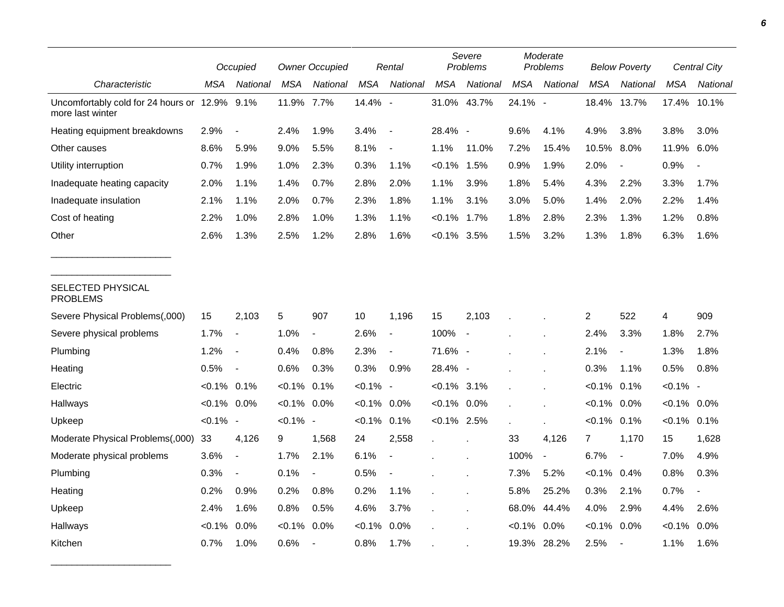|                                                                   |                | Occupied                 |             | <b>Owner Occupied</b>    |             | Rental                   |                | Severe<br>Problems       |            | Moderate<br>Problems     |                | <b>Below Poverty</b>     |                | Central City   |
|-------------------------------------------------------------------|----------------|--------------------------|-------------|--------------------------|-------------|--------------------------|----------------|--------------------------|------------|--------------------------|----------------|--------------------------|----------------|----------------|
| Characteristic                                                    | MSA            | National                 | <b>MSA</b>  | National                 | <b>MSA</b>  | National                 | <b>MSA</b>     | National                 | <b>MSA</b> | National                 | <b>MSA</b>     | National                 | <b>MSA</b>     | National       |
| Uncomfortably cold for 24 hours or 12.9% 9.1%<br>more last winter |                |                          | 11.9% 7.7%  |                          | 14.4% -     |                          | 31.0% 43.7%    |                          | 24.1%      | $\overline{\phantom{a}}$ | 18.4%          | 13.7%                    | 17.4%          | 10.1%          |
| Heating equipment breakdowns                                      | 2.9%           | $\overline{\phantom{a}}$ | 2.4%        | 1.9%                     | 3.4%        | $\blacksquare$           | 28.4% -        |                          | 9.6%       | 4.1%                     | 4.9%           | 3.8%                     | 3.8%           | 3.0%           |
| Other causes                                                      | 8.6%           | 5.9%                     | 9.0%        | 5.5%                     | 8.1%        | $\sim$                   | 1.1%           | 11.0%                    | 7.2%       | 15.4%                    | 10.5%          | 8.0%                     | 11.9%          | 6.0%           |
| Utility interruption                                              | 0.7%           | 1.9%                     | 1.0%        | 2.3%                     | 0.3%        | 1.1%                     | $< 0.1\%$      | 1.5%                     | 0.9%       | 1.9%                     | 2.0%           | $\overline{\phantom{a}}$ | 0.9%           |                |
| Inadequate heating capacity                                       | 2.0%           | 1.1%                     | 1.4%        | 0.7%                     | 2.8%        | 2.0%                     | 1.1%           | 3.9%                     | 1.8%       | 5.4%                     | 4.3%           | 2.2%                     | 3.3%           | 1.7%           |
| Inadequate insulation                                             | 2.1%           | 1.1%                     | 2.0%        | 0.7%                     | 2.3%        | 1.8%                     | 1.1%           | 3.1%                     | 3.0%       | 5.0%                     | 1.4%           | 2.0%                     | 2.2%           | 1.4%           |
| Cost of heating                                                   | 2.2%           | 1.0%                     | 2.8%        | 1.0%                     | 1.3%        | 1.1%                     | $< 0.1\%$ 1.7% |                          | 1.8%       | 2.8%                     | 2.3%           | 1.3%                     | 1.2%           | 0.8%           |
| Other                                                             | 2.6%           | 1.3%                     | 2.5%        | 1.2%                     | 2.8%        | 1.6%                     | $< 0.1\%$ 3.5% |                          | 1.5%       | 3.2%                     | 1.3%           | 1.8%                     | 6.3%           | 1.6%           |
| SELECTED PHYSICAL<br><b>PROBLEMS</b>                              |                |                          |             |                          |             |                          |                |                          |            |                          |                |                          |                |                |
| Severe Physical Problems(,000)                                    | 15             | 2,103                    | 5           | 907                      | 10          | 1,196                    | 15             | 2,103                    |            |                          | 2              | 522                      | 4              | 909            |
| Severe physical problems                                          | 1.7%           | $\blacksquare$           | 1.0%        | $\blacksquare$           | 2.6%        | $\overline{\phantom{a}}$ | 100%           | $\overline{\phantom{a}}$ |            |                          | 2.4%           | 3.3%                     | 1.8%           | 2.7%           |
| Plumbing                                                          | 1.2%           | $\overline{\phantom{a}}$ | 0.4%        | 0.8%                     | 2.3%        | $\overline{a}$           | 71.6% -        |                          |            |                          | 2.1%           | $\overline{\phantom{a}}$ | 1.3%           | 1.8%           |
| Heating                                                           | 0.5%           | $\blacksquare$           | 0.6%        | 0.3%                     | 0.3%        | 0.9%                     | 28.4% -        |                          |            |                          | 0.3%           | 1.1%                     | 0.5%           | 0.8%           |
| Electric                                                          | $< 0.1\%$ 0.1% |                          | $< 0.1\%$   | 0.1%                     | $< 0.1\%$ - |                          | $< 0.1\%$ 3.1% |                          |            |                          | $< 0.1\%$      | 0.1%                     | $< 0.1\%$ -    |                |
| Hallways                                                          | $< 0.1\%$ 0.0% |                          | $< 0.1\%$   | $0.0\%$                  | <0.1%       | $0.0\%$                  | $< 0.1\%$ 0.0% |                          |            |                          | $< 0.1\%$      | $0.0\%$                  | $< 0.1\%$ 0.0% |                |
| Upkeep                                                            | $< 0.1\%$ -    |                          | $< 0.1\%$ - |                          | $< 0.1\%$   | 0.1%                     | $< 0.1\%$ 2.5% |                          |            |                          | $< 0.1\%$ 0.1% |                          | $< 0.1\%$ 0.1% |                |
| Moderate Physical Problems(,000)                                  | 33             | 4,126                    | 9           | 1,568                    | 24          | 2,558                    |                |                          | 33         | 4,126                    | $\overline{7}$ | 1,170                    | 15             | 1,628          |
| Moderate physical problems                                        | 3.6%           | $\blacksquare$           | 1.7%        | 2.1%                     | 6.1%        | $\overline{\phantom{a}}$ |                |                          | 100%       | $\blacksquare$           | 6.7%           | $\blacksquare$           | 7.0%           | 4.9%           |
| Plumbing                                                          | 0.3%           | $\blacksquare$           | 0.1%        | $\overline{\phantom{a}}$ | 0.5%        |                          |                |                          | 7.3%       | 5.2%                     | $< 0.1\%$ 0.4% |                          | 0.8%           | 0.3%           |
| Heating                                                           | 0.2%           | 0.9%                     | 0.2%        | 0.8%                     | 0.2%        | 1.1%                     |                |                          | 5.8%       | 25.2%                    | 0.3%           | 2.1%                     | 0.7%           | $\blacksquare$ |
| Upkeep                                                            | 2.4%           | 1.6%                     | 0.8%        | 0.5%                     | 4.6%        | 3.7%                     |                |                          | 68.0%      | 44.4%                    | 4.0%           | 2.9%                     | 4.4%           | 2.6%           |
| Hallways                                                          | $< 0.1\%$      | 0.0%                     | $< 0.1\%$   | 0.0%                     | $< 0.1\%$   | 0.0%                     |                |                          | $< 0.1\%$  | $0.0\%$                  | $< 0.1\%$      | 0.0%                     | $< 0.1\%$      | $0.0\%$        |
| Kitchen                                                           | 0.7%           | 1.0%                     | 0.6%        | $\blacksquare$           | 0.8%        | 1.7%                     |                |                          |            | 19.3% 28.2%              | 2.5%           | $\overline{\phantom{a}}$ | 1.1%           | 1.6%           |

\_\_\_\_\_\_\_\_\_\_\_\_\_\_\_\_\_\_\_\_\_\_\_